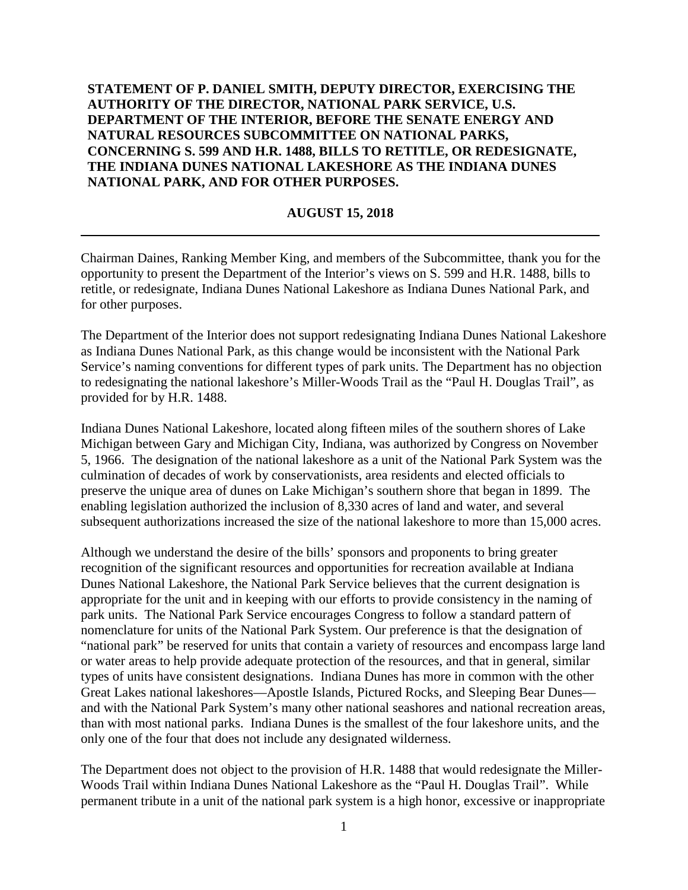## **STATEMENT OF P. DANIEL SMITH, DEPUTY DIRECTOR, EXERCISING THE AUTHORITY OF THE DIRECTOR, NATIONAL PARK SERVICE, U.S. DEPARTMENT OF THE INTERIOR, BEFORE THE SENATE ENERGY AND NATURAL RESOURCES SUBCOMMITTEE ON NATIONAL PARKS, CONCERNING S. 599 AND H.R. 1488, BILLS TO RETITLE, OR REDESIGNATE, THE INDIANA DUNES NATIONAL LAKESHORE AS THE INDIANA DUNES NATIONAL PARK, AND FOR OTHER PURPOSES.**

## **AUGUST 15, 2018**

Chairman Daines, Ranking Member King, and members of the Subcommittee, thank you for the opportunity to present the Department of the Interior's views on S. 599 and H.R. 1488, bills to retitle, or redesignate, Indiana Dunes National Lakeshore as Indiana Dunes National Park, and for other purposes.

The Department of the Interior does not support redesignating Indiana Dunes National Lakeshore as Indiana Dunes National Park, as this change would be inconsistent with the National Park Service's naming conventions for different types of park units. The Department has no objection to redesignating the national lakeshore's Miller-Woods Trail as the "Paul H. Douglas Trail", as provided for by H.R. 1488.

Indiana Dunes National Lakeshore, located along fifteen miles of the southern shores of Lake Michigan between Gary and Michigan City, Indiana, was authorized by Congress on November 5, 1966. The designation of the national lakeshore as a unit of the National Park System was the culmination of decades of work by conservationists, area residents and elected officials to preserve the unique area of dunes on Lake Michigan's southern shore that began in 1899. The enabling legislation authorized the inclusion of 8,330 acres of land and water, and several subsequent authorizations increased the size of the national lakeshore to more than 15,000 acres.

Although we understand the desire of the bills' sponsors and proponents to bring greater recognition of the significant resources and opportunities for recreation available at Indiana Dunes National Lakeshore, the National Park Service believes that the current designation is appropriate for the unit and in keeping with our efforts to provide consistency in the naming of park units. The National Park Service encourages Congress to follow a standard pattern of nomenclature for units of the National Park System. Our preference is that the designation of "national park" be reserved for units that contain a variety of resources and encompass large land or water areas to help provide adequate protection of the resources, and that in general, similar types of units have consistent designations. Indiana Dunes has more in common with the other Great Lakes national lakeshores—Apostle Islands, Pictured Rocks, and Sleeping Bear Dunes and with the National Park System's many other national seashores and national recreation areas, than with most national parks. Indiana Dunes is the smallest of the four lakeshore units, and the only one of the four that does not include any designated wilderness.

The Department does not object to the provision of H.R. 1488 that would redesignate the Miller-Woods Trail within Indiana Dunes National Lakeshore as the "Paul H. Douglas Trail". While permanent tribute in a unit of the national park system is a high honor, excessive or inappropriate